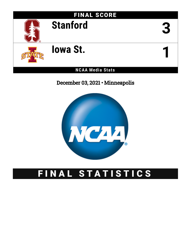

December 03, 2021 • Minneapolis



# FINAL STATISTICS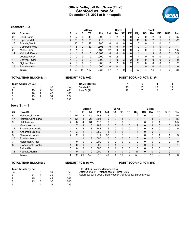## **Official Volleyball Box Score (Final) Stanford vs Iowa St. December 03, 2021 at Minneapolis**



#### **Stanford -- 3**

|    | ں -- ualliviu   |                |          |                |               |          |                |              |                |                |              |          |                |    |              |                |
|----|-----------------|----------------|----------|----------------|---------------|----------|----------------|--------------|----------------|----------------|--------------|----------|----------------|----|--------------|----------------|
|    |                 |                |          |                | <b>Attack</b> |          |                | <b>Serve</b> |                |                |              |          | <b>Block</b>   |    |              |                |
| ## | <b>Stanford</b> | s              | Κ        | Е              | TA            | Pct      | Ast            | SA           | <b>SE</b>      | <b>RE</b>      | <b>Dig</b>   | BS       | BA             | BE | <b>BHE</b>   | Pts            |
| 22 | Baird, Caitie   | 4              | 22       | 3              | 48            | .396     |                | 2            |                |                |              |          | 2              | 0  | 0            | 25             |
| 10 | Kipp, Kendall   | 4              | 20       | 5              | 36            | .417     |                |              | 3              | 0 <sub>1</sub> | 11           | 0        | $\overline{2}$ |    | 0            | 22             |
| 17 | Francis, Sami   | 4              | 10       | 2              | 28            | .286     | 0              | 0            | $\overline{0}$ | 0              | 5            | 0        | າ              | 0  | 0            | 11             |
| 3  | Campbell, Holly | 4              | 6        | $\overline{2}$ | 13            | .308     | $\overline{0}$ | 0            | $\overline{0}$ | 0 <sub>1</sub> | $\mathbf{0}$ | 3        | 4              | 0  | $\mathbf{0}$ | 11             |
| 2  | Miner, Kami     | 4              |          |                | 6             | .167     | 52             |              | $\overline{0}$ | 0              |              |          |                | 0  | 0            | 1.5            |
| 14 | Vicini, McKenna | 4              |          | $\mathcal{P}$  | 6             | $-0.167$ | $\overline{0}$ | $\Omega$     | 0              | 0              |              |          | 3              | 0  | 0            | 3.5            |
|    | Lougeay, Alex   | C              | 0        |                | 0             | .000     | $\overline{0}$ | ົ            | $\mathbf 1$    | 0              |              | 0        | U              | 0  | 0            | $\overline{2}$ |
| 4  | Beaven, Taylor  | 4              | 0        | $\Omega$       | 0             | .000     | $\mathbf{1}$   | 0            | 3              | $\overline{2}$ | 11           | 0        | 0              | 0  | 0            | 0              |
| 9  | Oglivie, Elena  | 4              | U        |                | $\Omega$      | .000     | 2 <sub>1</sub> | C            | $\overline{0}$ | 2              | 20           | $\Omega$ | n              | 0  | 0            | $\overline{2}$ |
| 16 | Berty, Natalie  | $\overline{2}$ | $\Omega$ |                | 0             | .000     | $\overline{0}$ |              | 1.             | $\Omega$       |              | 0        | 0              | 0  | 0            | 0              |
|    | Totals          | 4              | 60       | 14             | 137           | .336     | 57             |              | 9              | 4              | 67           | 4        | 14             |    | 0            | 78             |

#### **TOTAL TEAM BLOCKS: 11 SIDEOUT PCT: 70% POINT SCORING PCT: 43.3%**

| <b>Team Attack By Set</b> |    |    |      | <b>GAME SCORES</b> |    |    |    |    |
|---------------------------|----|----|------|--------------------|----|----|----|----|
| Set                       |    | ТA | Pct  | Stanford (3)       | 25 | 23 | 25 | 25 |
|                           | 15 | 32 | .406 | lowa St. $(1)$     | 19 | 25 | 18 |    |
| റ<br>∠                    | 16 | 43 | .163 |                    |    |    |    |    |
| ີ<br>ບ                    | 13 | 34 | .324 |                    |    |    |    |    |
|                           | 16 | 28 | .536 |                    |    |    |    |    |

### **Iowa St. -- 1**

|    | ו -- .וט סייטו      |   |    |                |               |                   |          |              |                 |                |                 |          |                |                |             |            |
|----|---------------------|---|----|----------------|---------------|-------------------|----------|--------------|-----------------|----------------|-----------------|----------|----------------|----------------|-------------|------------|
|    |                     |   |    |                | <b>Attack</b> |                   |          | <b>Serve</b> |                 |                |                 |          | <b>Block</b>   |                |             |            |
| ## | lowa St.            | s | Κ  | Е              | TA            | <b>Pct</b>        | Ast      | <b>SA</b>    | <b>SE</b>       | <b>RE</b>      | Dig             | BS       | <b>BA</b>      | BE             | <b>BHE</b>  | <b>Pts</b> |
| 6  | Holthaus, Eleanor   | 4 | 15 | 4              | 45            | .244              |          | 0            | $\Omega$        |                | 12 <sub>1</sub> | 0        | 0              | 0              |             | 15         |
| 17 | Herrera, Candelaria | 4 | 12 | 3              | 23            | .391              | 0        | 0            |                 | $\mathbf{0}$   | 3               |          | $\overline{4}$ | $\Omega$       | 0           | 15         |
| 9  | Hatch.Annie         | 4 | 8  | 4              | 34            | .118              | 0        | 0            | 0               |                | 3               | $\Omega$ | ٠              |                | 0           | 8.5        |
| 1  | Mantz, Kenzie       | 4 |    | 4              | 16            | .188              | 0        | $\mathbf{0}$ | 0 <sup>1</sup>  | 0              | $\overline{2}$  | 0        | 3              | 0              | 0           | 8.5        |
| 12 | Engelbrecht, Alexis | 4 |    | $\overline{2}$ | 11            | .182              |          | 0            | 0               |                | 0               |          | $\overline{2}$ | 0              | 0           | 5          |
| 5  | Andersen, Brooke    | 4 | 3  |                | 8             | .250              |          |              | $\overline{2}$  |                | 5 <sup>1</sup>  | $\Omega$ | 0              | $\Omega$       | $\mathbf 0$ | 4          |
| 3  | Newsome, Jaden      | 4 | っ  |                | 9             | .111              | 37       | 0            | $\overline{2}$  | 0              | 9               | 0        | 2              |                |             | 3          |
| 15 | Rhodes, Avery       |   |    |                | 3             | .000              | $\Omega$ | $\mathbf{0}$ | $\overline{0}$  | 0              | $\overline{0}$  | $\Omega$ | $\mathbf{0}$   | 0              | 0           |            |
|    | Heidemann, Addi     |   | 0  | 0              | $\Omega$      | .000              | 0        | $\Omega$     | $\Omega$        | 0              | $\mathbf{0}$    | 0        | 0              | 0              | 0           | 0          |
| 8  | Stonestreet, Brooke | 4 |    | 0              | $\Omega$      | .000 <sub>1</sub> | 0        |              | 5               | 3              | $\overline{ }$  | 0        | $\mathbf{0}$   | $\Omega$       | 0           |            |
| 11 | Petry, Allie        | 3 | 0  | $\Omega$       | 0             | .000              | 0        |              | $\Omega$        | 0              | 6               | $\Omega$ | $\mathbf{0}$   | 0              | $\Omega$    |            |
| 13 | Popovic, Marija     | 4 |    | 0              | 0             | .000 <sub>1</sub> | 3        |              | $\overline{0}$  | $\overline{2}$ | 11              |          | 0              | $\Omega$       | 0           |            |
|    | Totals              | 4 | 52 | 20             | 149           | .215              | 43       | 4            | 10 <sub>1</sub> | $\overline{ }$ | 58              |          | 12             | $\overline{2}$ |             | 63         |

#### **TOTAL TEAM BLOCKS: 7 SIDEOUT PCT: 56.7% POINT SCORING PCT: 30%**

| <b>Team Attack By Set</b> |    |     |    |      |  |  |  |  |  |  |
|---------------------------|----|-----|----|------|--|--|--|--|--|--|
| Set                       |    |     | TA | Pct  |  |  |  |  |  |  |
|                           | 13 | հ   | 41 | .171 |  |  |  |  |  |  |
| 2                         | 15 |     | 42 | .262 |  |  |  |  |  |  |
| ົ                         | 13 | ี่ค | 35 | 200  |  |  |  |  |  |  |

4 11 4 31 .226

Site: Maturi Pavilion (Minneapolis) Date:12/3/2021 - Attendance: 0 - Time: 2:06 Referees: Julie Voeck; Dan Houser; Jeff Krause; Sarah Myres;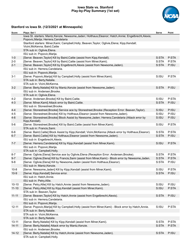### **Iowa State vs. Stanford Play-by-Play Summary (1st set)**



| Score     | Plays: Set 1                                                                                                                                    | Serve | Point |
|-----------|-------------------------------------------------------------------------------------------------------------------------------------------------|-------|-------|
|           | Iowa St. starters: Mantz, Kenzie; Newsome, Jaden; Holthaus, Eleanor; Hatch, Annie; Engelbrecht, Alexis;<br>Popovic, Marija; Herrera, Candelaria |       |       |
|           | Stanford starters: Miner, Kami; Campbell, Holly; Beaven, Taylor; Oglivie, Elena; Kipp, Kendall;<br>Vicini, McKenna; Baird, Caitie               |       |       |
|           | STA sub in: Oglivie, Elena.                                                                                                                     |       |       |
|           | ISU sub in: Popovic, Marija.                                                                                                                    |       |       |
| $1 - 0$   | [Serve: Beaven, Taylor] Kill by Baird, Caitie (assist from Kipp, Kendall).                                                                      | S:STA | P:STA |
| $2 - 0$   | [Serve: Beaven, Taylor] Kill by Baird, Caitie (assist from Miner, Kami).                                                                        | S:STA | P:STA |
| $2 - 1$   | [Serve: Beaven, Taylor] Kill by Engelbrecht, Alexis (assist from Newsome, Jaden).                                                               | S:STA | P:ISU |
|           | ISU sub in: Herrera, Candelaria.                                                                                                                |       |       |
|           | ISU sub in: Popovic, Marija.                                                                                                                    |       |       |
| $3 - 1$   | [Serve: Popovic, Marija] Kill by Campbell, Holly (assist from Miner, Kami).                                                                     | S:ISU | P:STA |
|           | STA sub in: Berty, Natalie.                                                                                                                     |       |       |
|           | STA sub in: Vicini, McKenna.                                                                                                                    |       |       |
| $3-2$     | [Serve: Berty, Natalie] Kill by Mantz, Kenzie (assist from Newsome, Jaden).                                                                     | S:STA | P:ISU |
|           | ISU sub in: Andersen, Brooke.                                                                                                                   |       |       |
|           | STA sub in: Oglivie, Elena.                                                                                                                     |       |       |
| $4 - 2$   | [Serve: Andersen, Brooke] Kill by Baird, Caitie.                                                                                                | S:ISU | P:STA |
| $4 - 3$   | [Serve: Miner, Kami] Attack error by Baird, Caitie.                                                                                             | S:STA | P:ISU |
|           | ISU sub in: Stonestreet, Brooke.                                                                                                                |       |       |
| $4 - 4$   | [Serve: Stonestreet, Brooke] Service ace by Stonestreet, Brooke (Reception Error: Beaven, Taylor).                                              | S:ISU | P:ISU |
| $4 - 5$   | [Serve: Stonestreet, Brooke] Kill by Holthaus, Eleanor (assist from Newsome, Jaden).                                                            | S:ISU | P:ISU |
| $4 - 6$   | [Serve: Stonestreet, Brooke] Block Assist by Newsome, Jaden; Herrera, Candelaria (Attack error by<br>Kipp, Kendall).                            | S:ISU | P:ISU |
| $5-6$     | [Serve: Stonestreet, Brooke] Kill by Baird, Caitie (assist from Miner, Kami).                                                                   | S:ISU | P:STA |
|           | STA sub in: Francis, Sami.                                                                                                                      |       |       |
| $6-6$     | [Serve: Baird, Caitie] Block Assist by Kipp, Kendall; Vicini, McKenna (Attack error by Holthaus, Eleanor).                                      | S:STA | P:STA |
| $6 - 7$   | [Serve: Baird, Caitie] Kill by Holthaus, Eleanor (assist from Newsome, Jaden).                                                                  | S:STA | P:ISU |
|           | ISU sub in: Engelbrecht, Alexis.                                                                                                                |       |       |
| $7 - 7$   | [Serve: Herrera, Candelaria] Kill by Kipp, Kendall (assist from Miner, Kami).                                                                   | S:ISU | P:STA |
|           | ISU sub in: Popovic, Marija.                                                                                                                    |       |       |
|           | STA sub in: Campbell, Holly.                                                                                                                    |       |       |
| $8 - 7$   | [Serve: Oglivie, Elena] Service ace by Oglivie, Elena (Reception Error: Andersen, Brooke).                                                      | S:STA | P:STA |
| $9 - 7$   | [Serve: Oglivie, Elena] Kill by Francis, Sami (assist from Miner, Kami) - Block error by Newsome, Jaden.                                        | S:STA | P:STA |
| $9-8$     | [Serve: Oglivie, Elena] Kill by Newsome, Jaden (assist from Holthaus, Eleanor).                                                                 | S:STA | P:ISU |
|           | ISU sub in: Mantz, Kenzie.                                                                                                                      |       |       |
| $10 - 8$  | [Serve: Newsome, Jaden] Kill by Kipp, Kendall (assist from Miner, Kami).                                                                        | S:ISU | P:STA |
| $10-9$    | [Serve: Kipp, Kendall] Service error.                                                                                                           | S:STA | P:ISU |
|           | ISU sub in: Hatch, Annie.                                                                                                                       |       |       |
|           | ISU sub in: Petry, Allie.                                                                                                                       |       |       |
| $10 - 10$ | [Serve: Petry, Allie] Kill by Hatch, Annie (assist from Newsome, Jaden).                                                                        | S:ISU | P:ISU |
| $11 - 10$ | [Serve: Petry, Allie] Kill by Kipp, Kendall (assist from Miner, Kami).                                                                          | S:ISU | P:STA |
|           | STA sub in: Beaven, Taylor.                                                                                                                     |       |       |
| $11 - 11$ | [Serve: Beaven, Taylor] Kill by Hatch, Annie (assist from Engelbrecht, Alexis).                                                                 | S:STA | P:ISU |
|           | ISU sub in: Herrera, Candelaria.                                                                                                                |       |       |
|           | ISU sub in: Popovic, Marija.                                                                                                                    |       |       |
| $12 - 11$ | [Serve: Popovic, Marija] Kill by Campbell, Holly (assist from Miner, Kami) - Block error by Hatch, Annie.<br>STA sub in: Berty, Natalie.        | S:ISU | P:STA |
|           | STA sub in: Vicini, McKenna.                                                                                                                    |       |       |
|           | STA sub in: Berty, Natalie.                                                                                                                     |       |       |
| $13 - 11$ | [Serve: Berty, Natalie] Kill by Kipp, Kendall (assist from Miner, Kami).                                                                        | S:STA | P:STA |
| $14 - 11$ | [Serve: Berty, Natalie] Attack error by Mantz, Kenzie.                                                                                          | S:STA | P:STA |
|           | ISU sub in: Andersen, Brooke.                                                                                                                   |       |       |
| $14 - 12$ | [Serve: Berty, Natalie] Kill by Hatch, Annie (assist from Newsome, Jaden).<br>STA sub in: Campbell, Holly.                                      | S:STA | P:ISU |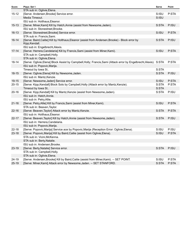| Score     | Plays: Set 1                                                                                                         | Serve | Point |
|-----------|----------------------------------------------------------------------------------------------------------------------|-------|-------|
|           | STA sub in: Oglivie, Elena.                                                                                          |       |       |
| $15 - 12$ | [Serve: Andersen, Brooke] Service error.                                                                             | S:ISU | P:STA |
|           | Media Timeout.                                                                                                       | S:ISU |       |
|           | ISU sub in: Holthaus, Eleanor.                                                                                       |       |       |
| $15 - 13$ | [Serve: Miner, Kami] Kill by Hatch, Annie (assist from Newsome, Jaden).                                              | S:STA | P:ISU |
|           | ISU sub in: Stonestreet, Brooke.                                                                                     |       |       |
| $16 - 13$ | [Serve: Stonestreet, Brooke] Service error.                                                                          | S:ISU | P:STA |
|           | STA sub in: Francis, Sami.                                                                                           |       |       |
| $16 - 14$ | [Serve: Baird, Caitie] Kill by Holthaus, Eleanor (assist from Andersen, Brooke) - Block error by<br>Kipp, Kendall.   | S:STA | P:ISU |
|           | ISU sub in: Engelbrecht, Alexis.                                                                                     |       |       |
| $17 - 14$ | [Serve: Herrera, Candelaria] Kill by Francis, Sami (assist from Miner, Kami).                                        | S:ISU | P:STA |
|           | STA sub in: Campbell, Holly.                                                                                         |       |       |
|           | STA sub in: Oglivie, Elena.                                                                                          |       |       |
| $18 - 14$ | [Serve: Oglivie, Elena] Block Assist by Campbell, Holly; Francis, Sami (Attack error by Engelbrecht, Alexis). S: STA |       | P:STA |
|           | ISU sub in: Popovic, Marija.                                                                                         |       |       |
|           | Timeout by Iowa St                                                                                                   | S:STA |       |
| $18 - 15$ | [Serve: Oglivie, Elena] Kill by Newsome, Jaden.                                                                      | S:STA | P:ISU |
|           | ISU sub in: Mantz, Kenzie.                                                                                           |       |       |
| 19-15     | [Serve: Newsome, Jaden] Service error.                                                                               | S:ISU | P:STA |
| $20 - 15$ | [Serve: Kipp, Kendall] Block Solo by Campbell, Holly (Attack error by Mantz, Kenzie).                                | S:STA | P:STA |
|           | Timeout by Iowa St                                                                                                   | S:STA |       |
| $20 - 16$ | [Serve: Kipp, Kendall] Kill by Mantz, Kenzie (assist from Newsome, Jaden).                                           | S:STA | P:ISU |
|           | ISU sub in: Hatch, Annie.                                                                                            |       |       |
|           | ISU sub in: Petry, Allie.                                                                                            |       |       |
| $21 - 16$ | [Serve: Petry, Allie] Kill by Francis, Sami (assist from Miner, Kami).<br>STA sub in: Beaven, Taylor.                | S:ISU | P:STA |
| $22 - 16$ | [Serve: Beaven, Taylor] Attack error by Mantz, Kenzie.                                                               | S:STA | P:STA |
|           | ISU sub in: Holthaus, Eleanor.                                                                                       |       |       |
| 22-17     | [Serve: Beaven, Taylor] Kill by Hatch, Annie (assist from Newsome, Jaden).                                           | S:STA | P:ISU |
|           | ISU sub in: Herrera, Candelaria.                                                                                     |       |       |
|           | ISU sub in: Popovic, Marija.                                                                                         |       |       |
| $22 - 18$ | [Serve: Popovic, Marija] Service ace by Popovic, Marija (Reception Error: Oglivie, Elena).                           | S:ISU | P:ISU |
| $23 - 18$ | [Serve: Popovic, Marija] Kill by Baird, Caitie (assist from Oglivie, Elena).                                         | S:ISU | P:STA |
|           | STA sub in: Vicini, McKenna.                                                                                         |       |       |
|           | STA sub in: Berty, Natalie.                                                                                          |       |       |
|           | ISU sub in: Andersen, Brooke.                                                                                        |       |       |
| 23-19     | [Serve: Berty, Natalie] Service error.                                                                               | S:STA | P:ISU |
|           | STA sub in: Campbell, Holly.                                                                                         |       |       |
|           | STA sub in: Oglivie, Elena.                                                                                          |       |       |
| 24-19     | [Serve: Andersen, Brooke] Kill by Baird, Caitie (assist from Miner, Kami). -- SET POINT.                             | S:ISU | P:STA |
| $25 - 19$ | [Serve: Miner, Kami] Attack error by Newsome, Jaden. -- SET STANFORD.                                                | S:STA | P:STA |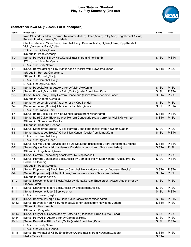### **Iowa State vs. Stanford Play-by-Play Summary (2nd set)**



| Score     | Plays: Set 2                                                                                                                               | Serve | Point |
|-----------|--------------------------------------------------------------------------------------------------------------------------------------------|-------|-------|
|           | Iowa St. starters: Mantz, Kenzie; Newsome, Jaden; Hatch, Annie; Petry, Allie; Engelbrecht, Alexis;<br>Popovic, Marija; Herrera, Candelaria |       |       |
|           | Stanford starters: Miner, Kami; Campbell, Holly; Beaven, Taylor; Oglivie, Elena; Kipp, Kendall;<br>Vicini, McKenna; Baird, Caitie          |       |       |
|           | STA sub in: Oglivie, Elena.                                                                                                                |       |       |
|           | ISU sub in: Popovic, Marija.                                                                                                               |       |       |
| $1-0$     | [Serve: Petry, Allie] Kill by Kipp, Kendall (assist from Miner, Kami).                                                                     | S:ISU | P:STA |
|           | STA sub in: Vicini, McKenna.                                                                                                               |       |       |
|           | STA sub in: Berty, Natalie.                                                                                                                |       |       |
| $1 - 1$   | [Serve: Berty, Natalie] Kill by Mantz, Kenzie (assist from Newsome, Jaden).                                                                | S:STA | P:ISU |
|           | ISU sub in: Herrera, Candelaria.                                                                                                           |       |       |
|           | ISU sub in: Popovic, Marija.                                                                                                               |       |       |
|           | STA sub in: Campbell, Holly.                                                                                                               |       |       |
|           | STA sub in: Oglivie, Elena.                                                                                                                |       |       |
| $1 - 2$   | [Serve: Popovic, Marija] Attack error by Vicini, McKenna.                                                                                  | S:ISU | P:ISU |
| $2 - 2$   | [Serve: Popovic, Marija] Kill by Baird, Caitie (assist from Miner, Kami).                                                                  | S:ISU | P:STA |
| $2 - 3$   | [Serve: Miner, Kami] Kill by Herrera, Candelaria (assist from Newsome, Jaden).                                                             | S:STA | P:ISU |
|           | ISU sub in: Andersen, Brooke.                                                                                                              |       |       |
| $2 - 4$   | [Serve: Andersen, Brooke] Attack error by Kipp, Kendall.                                                                                   | S:ISU | P:ISU |
| $3 - 4$   | [Serve: Andersen, Brooke] Attack error by Hatch, Annie.                                                                                    | S:ISU | P:STA |
|           | STA sub in: Francis, Sami.                                                                                                                 |       |       |
| $4 - 4$   | [Serve: Baird, Caitie] Kill by Kipp, Kendall (assist from Miner, Kami).                                                                    | S:STA | P:STA |
| $4 - 5$   | [Serve: Baird, Caitie] Block Solo by Herrera, Candelaria (Attack error by Vicini, McKenna).                                                | S:STA | P:ISU |
|           | ISU sub in: Stonestreet, Brooke.                                                                                                           |       |       |
|           | ISU sub in: Holthaus, Eleanor.                                                                                                             |       |       |
| $4-6$     | [Serve: Stonestreet, Brooke] Kill by Herrera, Candelaria (assist from Newsome, Jaden).                                                     | S:ISU | P:ISU |
| $5-6$     | [Serve: Stonestreet, Brooke] Kill by Kipp, Kendall (assist from Miner, Kami).                                                              | S:ISU | P:STA |
|           | STA sub in: Campbell, Holly.                                                                                                               |       |       |
|           | STA sub in: Oglivie, Elena.                                                                                                                |       |       |
| $6-6$     | [Serve: Oglivie, Elena] Service ace by Oglivie, Elena (Reception Error: Stonestreet, Brooke).                                              | S:STA | P:STA |
| $6 - 7$   | [Serve: Oglivie, Elena] Kill by Herrera, Candelaria (assist from Newsome, Jaden).                                                          | S:STA | P:ISU |
|           | ISU sub in: Engelbrecht, Alexis.                                                                                                           |       |       |
| $6 - 8$   | [Serve: Herrera, Candelaria] Attack error by Kipp, Kendall.                                                                                | S:ISU | P:ISU |
| $7 - 8$   | [Serve: Herrera, Candelaria] Block Assist by Campbell, Holly; Kipp, Kendall (Attack error by                                               | S:ISU | P:STA |
|           | Holthaus, Eleanor).                                                                                                                        |       |       |
|           | ISU sub in: Popovic, Marija.                                                                                                               |       |       |
| $8 - 8$   | [Serve: Kipp, Kendall] Block Solo by Campbell, Holly (Attack error by Andersen, Brooke).                                                   | S:STA | P:STA |
| $8-9$     | [Serve: Kipp, Kendall] Kill by Holthaus, Eleanor (assist from Newsome, Jaden).                                                             | S:STA | P:ISU |
|           | ISU sub in: Mantz, Kenzie.                                                                                                                 |       |       |
| $8 - 10$  | [Serve: Newsome, Jaden] Block Assist by Mantz, Kenzie; Engelbrecht, Alexis (Attack error by<br>Francis, Sami).                             | S:ISU | P:ISU |
| $8 - 11$  | [Serve: Newsome, Jaden] Block Assist by Engelbrecht, Alexis.                                                                               | S:ISU | P:ISU |
| $9 - 11$  | [Serve: Newsome, Jaden] Service error.                                                                                                     | S:ISU | P:STA |
|           | STA sub in: Beaven, Taylor.                                                                                                                |       |       |
| $10 - 11$ | [Serve: Beaven, Taylor] Kill by Baird, Caitie (assist from Miner, Kami).                                                                   | S:STA | P:STA |
| $10 - 12$ | [Serve: Beaven, Taylor] Kill by Holthaus, Eleanor (assist from Newsome, Jaden).                                                            | S:STA | P:ISU |
|           | ISU sub in: Hatch, Annie.                                                                                                                  |       |       |
|           | ISU sub in: Petry, Allie.                                                                                                                  |       |       |
| $10 - 13$ | [Serve: Petry, Allie] Service ace by Petry, Allie (Reception Error: Oglivie, Elena).                                                       | S:ISU | P:ISU |
| $10 - 14$ | [Serve: Petry, Allie] Attack error by Campbell, Holly.                                                                                     | S:ISU | P:ISU |
| $11 - 14$ | [Serve: Petry, Allie] Kill by Baird, Caitie (assist from Miner, Kami).                                                                     | S:ISU | P:STA |
|           | STA sub in: Berty, Natalie.                                                                                                                |       |       |
|           | STA sub in: Vicini, McKenna.                                                                                                               |       |       |
| $11 - 15$ | [Serve: Berty, Natalie] Kill by Engelbrecht, Alexis (assist from Newsome, Jaden).                                                          | S:STA | P:ISU |
|           | Media Timeout.                                                                                                                             | S:STA |       |
|           |                                                                                                                                            |       |       |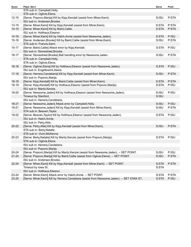| Score     | Plays: Set 2                                                                                  | Serve | Point |
|-----------|-----------------------------------------------------------------------------------------------|-------|-------|
|           | STA sub in: Campbell, Holly.                                                                  |       |       |
|           | STA sub in: Oglivie, Elena.                                                                   |       |       |
| $12 - 15$ | [Serve: Popovic, Marija] Kill by Kipp, Kendall (assist from Miner, Kami).                     | S:ISU | P:STA |
|           | ISU sub in: Andersen, Brooke.                                                                 |       |       |
| $13 - 15$ | [Serve: Miner, Kami] Kill by Kipp, Kendall (assist from Miner, Kami).                         | S:STA | P:STA |
| $14 - 15$ | [Serve: Miner, Kami] Kill by Baird, Caitie.                                                   | S:STA | P:STA |
|           | ISU sub in: Holthaus, Eleanor.                                                                |       |       |
| $14 - 16$ | [Serve: Miner, Kami] Kill by Hatch, Annie (assist from Newsome, Jaden).                       | S:STA | P:ISU |
| $15 - 16$ | [Serve: Andersen, Brooke] Kill by Baird, Caitie (assist from Miner, Kami).                    | S:ISU | P:STA |
|           | STA sub in: Francis, Sami.                                                                    |       |       |
| 15-17     | [Serve: Baird, Caitie] Attack error by Kipp, Kendall.                                         | S:STA | P:ISU |
|           | ISU sub in: Stonestreet, Brooke.                                                              |       |       |
| 16-17     | [Serve: Stonestreet, Brooke] Ball handling error by Newsome, Jaden.                           | S:ISU | P:STA |
|           | STA sub in: Campbell, Holly.                                                                  |       |       |
|           | STA sub in: Oglivie, Elena.                                                                   |       |       |
| $16 - 18$ | [Serve: Oglivie, Elena] Kill by Holthaus, Eleanor (assist from Newsome, Jaden).               | S:STA | P:ISU |
|           | ISU sub in: Engelbrecht, Alexis.                                                              |       |       |
| $17 - 18$ | [Serve: Herrera, Candelaria] Kill by Kipp, Kendall (assist from Miner, Kami).                 | S:ISU | P:STA |
|           | ISU sub in: Popovic, Marija.                                                                  |       |       |
| $18 - 18$ | [Serve: Kipp, Kendall] Kill by Baird, Caitie (assist from Miner, Kami).                       | S:STA | P:STA |
| 18-19     | [Serve: Kipp, Kendall] Kill by Holthaus, Eleanor (assist from Popovic, Marija).               | S:STA | P:ISU |
|           | ISU sub in: Mantz, Kenzie.                                                                    |       |       |
| 18-20     | [Serve: Newsome, Jaden] Kill by Holthaus, Eleanor (assist from Newsome, Jaden).               | S:ISU | P:ISU |
|           | Timeout by Stanford.                                                                          | S:ISU |       |
|           | ISU sub in: Herrera, Candelaria.                                                              |       |       |
| $18 - 21$ | [Serve: Newsome, Jaden] Attack error by Campbell, Holly.                                      | S:ISU | P:ISU |
| 19-21     | [Serve: Newsome, Jaden] Kill by Kipp, Kendall (assist from Miner, Kami).                      | S:ISU | P:STA |
|           | STA sub in: Beaven, Taylor.                                                                   |       |       |
| 19-22     | [Serve: Beaven, Taylor] Kill by Holthaus, Eleanor (assist from Newsome, Jaden).               | S:STA | P:ISU |
|           | ISU sub in: Hatch, Annie.                                                                     |       |       |
|           | ISU sub in: Petry, Allie.                                                                     |       |       |
| 20-22     | [Serve: Petry, Allie] Kill by Kipp, Kendall (assist from Miner, Kami).                        | S:ISU | P:STA |
|           | STA sub in: Berty, Natalie.                                                                   |       |       |
|           | STA sub in: Vicini, McKenna.                                                                  |       |       |
| 20-23     | [Serve: Berty, Natalie] Kill by Mantz, Kenzie (assist from Popovic, Marija).                  | S:STA | P:ISU |
|           | STA sub in: Oglivie, Elena.                                                                   |       |       |
|           | ISU sub in: Herrera, Candelaria.                                                              |       |       |
|           | ISU sub in: Popovic, Marija.                                                                  |       |       |
| 20-24     | [Serve: Popovic, Marija] Kill by Mantz, Kenzie (assist from Newsome, Jaden). -- SET POINT.    | S:ISU | P:ISU |
| $21 - 24$ | [Serve: Popovic, Marija] Kill by Baird, Caitie (assist from Oglivie, Elena). -- SET POINT.    | S:ISU | P:STA |
|           | ISU sub in: Andersen, Brooke.                                                                 |       |       |
| $22 - 24$ | [Serve: Miner, Kami] Kill by Kipp, Kendall (assist from Miner, Kami). -- SET POINT.           | S:STA | P:STA |
|           | Timeout by Iowa St                                                                            | S:STA |       |
|           | ISU sub in: Holthaus, Eleanor.                                                                |       |       |
| 23-24     | [Serve: Miner, Kami] Attack error by Hatch, Annie. -- SET POINT.                              | S:STA | P:STA |
| 23-25     | [Serve: Miner, Kami] Kill by Herrera, Candelaria (assist from Newsome, Jaden). -- SET IOWA ST | S:STA | P:ISU |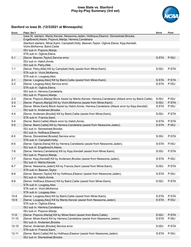### **Iowa State vs. Stanford Play-by-Play Summary (3rd set)**



| Score     | Plays: Set 3                                                                                                                                           | Serve | Point |
|-----------|--------------------------------------------------------------------------------------------------------------------------------------------------------|-------|-------|
|           | lowa St. starters: Mantz, Kenzie; Newsome, Jaden; Holthaus, Eleanor; Stonestreet, Brooke;<br>Engelbrecht, Alexis; Popovic, Marija; Herrera, Candelaria |       |       |
|           | Stanford starters: Miner, Kami; Campbell, Holly; Beaven, Taylor; Oglivie, Elena; Kipp, Kendall;<br>Vicini, McKenna; Baird, Caitie                      |       |       |
|           | ISU sub in: Popovic, Marija.                                                                                                                           |       |       |
|           | STA sub in: Oglivie, Elena.                                                                                                                            |       |       |
| $0 - 1$   | [Serve: Beaven, Taylor] Service error.                                                                                                                 | S:STA | P:ISU |
|           | ISU sub in: Hatch, Annie.                                                                                                                              |       |       |
|           | ISU sub in: Petry, Allie.                                                                                                                              |       |       |
| $1 - 1$   | [Serve: Petry, Allie] Kill by Campbell, Holly (assist from Miner, Kami).                                                                               | S:ISU | P:STA |
|           | STA sub in: Vicini, McKenna.                                                                                                                           |       |       |
|           | STA sub in: Lougeay, Alex.                                                                                                                             |       |       |
| $2 - 1$   | [Serve: Lougeay, Alex] Kill by Baird, Caitie (assist from Miner, Kami).                                                                                | S:STA | P:STA |
| $2 - 2$   | [Serve: Lougeay, Alex] Service error.                                                                                                                  | S:STA | P:ISU |
|           | STA sub in: Oglivie, Elena.                                                                                                                            |       |       |
|           | ISU sub in: Herrera, Candelaria.                                                                                                                       |       |       |
|           | ISU sub in: Popovic, Marija.                                                                                                                           |       |       |
| $2 - 3$   | [Serve: Popovic, Marija] Block Assist by Mantz, Kenzie; Herrera, Candelaria (Attack error by Baird, Caitie).                                           | S:ISU | P:ISU |
| $3 - 3$   | [Serve: Popovic, Marija] Kill by Vicini, McKenna (assist from Miner, Kami).                                                                            | S:ISU | P:STA |
| $3 - 4$   | [Serve: Miner, Kami] Block Assist by Hatch, Annie; Herrera, Candelaria (Attack error by Kipp, Kendall).                                                | S:STA | P:ISU |
|           | ISU sub in: Andersen, Brooke.                                                                                                                          |       |       |
| $4 - 4$   | [Serve: Andersen, Brooke] Kill by Baird, Caitie (assist from Miner, Kami).                                                                             | S:ISU | P:STA |
|           | STA sub in: Francis, Sami.                                                                                                                             |       |       |
| $5 - 4$   | [Serve: Baird, Caitie] Attack error by Hatch, Annie.                                                                                                   | S:STA | P:STA |
| $5-5$     | [Serve: Baird, Caitie] Kill by Herrera, Candelaria (assist from Newsome, Jaden).                                                                       | S:STA | P:ISU |
|           | ISU sub in: Stonestreet, Brooke.                                                                                                                       |       |       |
|           | ISU sub in: Holthaus, Eleanor.                                                                                                                         |       |       |
| 6-5       | [Serve: Stonestreet, Brooke] Service error.                                                                                                            | S:ISU | P:STA |
|           | STA sub in: Campbell, Holly.                                                                                                                           |       |       |
| $6-6$     | [Serve: Oglivie, Elena] Kill by Herrera, Candelaria (assist from Newsome, Jaden).                                                                      | S:STA | P:ISU |
|           | ISU sub in: Engelbrecht, Alexis.                                                                                                                       |       |       |
| 7-6       | [Serve: Herrera, Candelaria] Kill by Kipp, Kendall (assist from Miner, Kami).                                                                          | S:ISU | P:STA |
|           | ISU sub in: Popovic, Marija.                                                                                                                           |       |       |
| $7 - 7$   | [Serve: Kipp, Kendall] Kill by Andersen, Brooke (assist from Newsome, Jaden).                                                                          | S:STA | P:ISU |
|           | ISU sub in: Mantz, Kenzie.                                                                                                                             |       |       |
| $8 - 7$   | [Serve: Newsome, Jaden] Kill by Francis, Sami (assist from Miner, Kami).                                                                               | S:ISU | P:STA |
|           | STA sub in: Beaven, Taylor.                                                                                                                            |       |       |
| $8 - 8$   | [Serve: Beaven, Taylor] Kill by Holthaus, Eleanor (assist from Newsome, Jaden).                                                                        | S:STA | P:ISU |
|           | ISU sub in: Hatch, Annie.                                                                                                                              |       |       |
| $9-8$     | [Serve: Holthaus, Eleanor] Kill by Baird, Caitie (assist from Miner, Kami).                                                                            | S:ISU | P:STA |
|           | STA sub in: Lougeay, Alex.                                                                                                                             |       |       |
|           | STA sub in: Vicini, McKenna.                                                                                                                           |       |       |
|           | STA sub in: Lougeay, Alex.                                                                                                                             |       |       |
| $10-8$    | [Serve: Lougeay, Alex] Kill by Baird, Caitie (assist from Miner, Kami).                                                                                | S:STA | P:STA |
| $10-9$    | [Serve: Lougeay, Alex] Kill by Mantz, Kenzie (assist from Newsome, Jaden).                                                                             | S:STA | P:ISU |
|           | STA sub in: Oglivie, Elena.                                                                                                                            |       |       |
|           | ISU sub in: Herrera, Candelaria.                                                                                                                       |       |       |
|           | ISU sub in: Popovic, Marija.                                                                                                                           |       |       |
| $11-9$    | [Serve: Popovic, Marija] Kill by Miner, Kami (assist from Baird, Caitie).                                                                              | S:ISU | P:STA |
| $11 - 10$ | [Serve: Miner, Kami] Kill by Herrera, Candelaria (assist from Newsome, Jaden).                                                                         | S:STA | P:ISU |
|           | ISU sub in: Andersen, Brooke.                                                                                                                          |       |       |
| $12 - 10$ | [Serve: Andersen, Brooke] Service error.                                                                                                               | S:ISU | P:STA |
|           | STA sub in: Francis, Sami.                                                                                                                             |       |       |
| $12 - 11$ | [Serve: Baird, Caitie] Kill by Holthaus, Eleanor (assist from Newsome, Jaden).                                                                         | S:STA | P:ISU |
|           | ISU sub in: Stonestreet, Brooke.                                                                                                                       |       |       |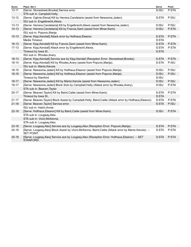| Score     | Plays: Set 3                                                                                                  | <b>Serve</b> | Point |
|-----------|---------------------------------------------------------------------------------------------------------------|--------------|-------|
| $13 - 11$ | [Serve: Stonestreet, Brooke] Service error.                                                                   | S:ISU        | P:STA |
|           | STA sub in: Campbell, Holly.                                                                                  |              |       |
| $13 - 12$ | [Serve: Oglivie, Elena] Kill by Herrera, Candelaria (assist from Newsome, Jaden).                             | S:STA        | P:ISU |
|           | ISU sub in: Engelbrecht, Alexis.                                                                              |              |       |
| $13 - 13$ | [Serve: Herrera, Candelaria] Kill by Engelbrecht, Alexis (assist from Newsome, Jaden).                        | S:ISU        | P:ISU |
| $14 - 13$ | [Serve: Herrera, Candelaria] Kill by Francis, Sami (assist from Miner, Kami).                                 | S:ISU        | P:STA |
|           | ISU sub in: Popovic, Marija.                                                                                  |              |       |
| $15 - 13$ | [Serve: Kipp, Kendall] Attack error by Holthaus, Eleanor.                                                     | S:STA        | P:STA |
|           | Media Timeout.                                                                                                | S:STA        |       |
| $16 - 13$ | [Serve: Kipp, Kendall] Kill by Francis, Sami (assist from Miner, Kami).                                       | S:STA        | P:STA |
| $17 - 13$ | [Serve: Kipp, Kendall] Attack error by Engelbrecht, Alexis.                                                   | S:STA        | P:STA |
|           | Timeout by Iowa St                                                                                            | S:STA        |       |
|           | ISU sub in: Rhodes, Avery.                                                                                    |              |       |
| $18 - 13$ | [Serve: Kipp, Kendall] Service ace by Kipp, Kendall (Reception Error: Stonestreet, Brooke).                   | S:STA        | P:STA |
| $18 - 14$ | [Serve: Kipp, Kendall] Kill by Rhodes, Avery (assist from Popovic, Marija).                                   | S:STA        | P:ISU |
|           | ISU sub in: Mantz, Kenzie.                                                                                    |              |       |
| $18 - 15$ | [Serve: Newsome, Jaden] Kill by Holthaus, Eleanor (assist from Popovic, Marija).                              | S:ISU        | P:ISU |
| $18 - 16$ | [Serve: Newsome, Jaden] Kill by Holthaus, Eleanor (assist from Popovic, Marija).                              | S:ISU        | P:ISU |
|           | Timeout by Stanford.                                                                                          | S:ISU        |       |
| $18 - 17$ | [Serve: Newsome, Jaden] Kill by Mantz, Kenzie (assist from Newsome, Jaden).                                   | S:ISU        | P:ISU |
| 19-17     | [Serve: Newsome, Jaden] Block Solo by Campbell, Holly (Attack error by Rhodes, Avery).                        | S:ISU        | P:STA |
|           | STA sub in: Beaven, Taylor.                                                                                   |              |       |
| $20 - 17$ | [Serve: Beaven, Taylor] Kill by Baird, Caitie (assist from Miner, Kami).                                      | S:STA        | P:STA |
|           | Timeout by Iowa St                                                                                            | S:STA        |       |
| $21 - 17$ | [Serve: Beaven, Taylor] Block Assist by Campbell, Holly; Baird, Caitie (Attack error by Holthaus, Eleanor).   | S:STA        | P:STA |
| $21 - 18$ | [Serve: Beaven, Taylor] Service error.                                                                        | S:STA        | P:ISU |
|           | ISU sub in: Hatch, Annie.                                                                                     |              |       |
| $22 - 18$ | [Serve: Holthaus, Eleanor] Kill by Baird, Caitie (assist from Miner, Kami).                                   | S:ISU        | P:STA |
|           | STA sub in: Lougeay, Alex.                                                                                    |              |       |
|           | STA sub in: Vicini, McKenna.                                                                                  |              |       |
|           | STA sub in: Lougeay, Alex.                                                                                    |              |       |
| $23 - 18$ | [Serve: Lougeay, Alex] Service ace by Lougeay, Alex (Reception Error: Popovic, Marija).                       | S:STA        | P:STA |
| 24-18     | [Serve: Lougeay, Alex] Block Assist by Vicini, McKenna; Baird, Caitie (Attack error by Mantz, Kenzie). --     | S:STA        | P:STA |
|           | SET POINT.                                                                                                    |              |       |
| $25 - 18$ | [Serve: Lougeay, Alex] Service ace by Lougeay, Alex (Reception Error: Holthaus, Eleanor). -- SET<br>STANFORD. | S:STA        | P:STA |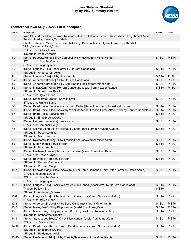### **Iowa State vs. Stanford Play-by-Play Summary (4th set)**



| Score     | Plays: Set 4                                                                                                                                    | Serve | Point |
|-----------|-------------------------------------------------------------------------------------------------------------------------------------------------|-------|-------|
|           | lowa St. starters: Mantz, Kenzie; Newsome, Jaden; Holthaus, Eleanor; Hatch, Annie; Engelbrecht, Alexis;<br>Popovic, Marija; Herrera, Candelaria |       |       |
|           | Stanford starters: Miner, Kami; Campbell, Holly; Beaven, Taylor; Oglivie, Elena; Kipp, Kendall;<br>Vicini, McKenna; Baird, Caitie               |       |       |
|           | STA sub in: Oglivie, Elena.                                                                                                                     |       |       |
|           | ISU sub in: Popovic, Marija.                                                                                                                    |       |       |
| $1-0$     | [Serve: Popovic, Marija] Kill by Campbell, Holly (assist from Miner, Kami).                                                                     | S:ISU | P:STA |
|           | STA sub in: Vicini, McKenna.                                                                                                                    |       |       |
|           | STA sub in: Lougeay, Alex.                                                                                                                      |       |       |
| $2 - 0$   | [Serve: Lougeay, Alex] Attack error by Herrera, Candelaria.                                                                                     | S:STA | P:STA |
|           | ISU sub in: Andersen, Brooke.                                                                                                                   |       |       |
| $2 - 1$   | [Serve: Lougeay, Alex] Kill by Hatch, Annie.                                                                                                    | S:STA | P:ISU |
| $2 - 2$   | [Serve: Andersen, Brooke] Kill by Herrera, Candelaria.                                                                                          | S:ISU | P:ISU |
| $3-2$     | [Serve: Andersen, Brooke] Kill by Kipp, Kendall (assist from Miner, Kami).                                                                      | S:ISU | P:STA |
| $3 - 3$   | [Serve: Miner, Kami] Kill by Herrera, Candelaria (assist from Newsome, Jaden).                                                                  | S:STA | P:ISU |
|           | ISU sub in: Stonestreet, Brooke.                                                                                                                |       |       |
|           | STA sub in: Oglivie, Elena.                                                                                                                     |       |       |
| $4 - 3$   | [Serve: Stonestreet, Brooke] Service error.                                                                                                     | S:ISU | P:STA |
|           | STA sub in: Francis, Sami.                                                                                                                      |       |       |
| $5-3$     | [Serve: Baird, Caitie] Service ace by Baird, Caitie (Reception Error: Stonestreet, Brooke).                                                     | S:STA | P:STA |
| $6 - 3$   | [Serve: Baird, Caitie] Block Assist by Vicini, McKenna; Francis, Sami (Attack error by Herrera, Candelaria).                                    | S:STA | P:STA |
| 6-4       | [Serve: Baird, Caitie] Service error.                                                                                                           | S:STA | P:ISU |
|           | ISU sub in: Engelbrecht, Alexis.                                                                                                                |       |       |
| 7-4       | [Serve: Herrera, Candelaria] Service error.                                                                                                     | S:ISU | P:STA |
|           | STA sub in: Campbell, Holly.                                                                                                                    |       |       |
| $7-5$     | [Serve: Oglivie, Elena] Kill by Holthaus, Eleanor (assist from Newsome, Jaden).                                                                 | S:STA | P:ISU |
|           | ISU sub in: Popovic, Marija.                                                                                                                    |       |       |
|           | ISU sub in: Mantz, Kenzie.                                                                                                                      |       |       |
| $8 - 5$   | [Serve: Newsome, Jaden] Kill by Francis, Sami (assist from Miner, Kami).                                                                        | S:ISU | P:STA |
| $8-6$     | [Serve: Kipp, Kendall] Service error.                                                                                                           | S:STA | P:ISU |
|           | ISU sub in: Hatch, Annie.                                                                                                                       |       |       |
| $9-6$     | [Serve: Holthaus, Eleanor] Kill by Francis, Sami (assist from Miner, Kami).                                                                     | S:ISU | P:STA |
|           | STA sub in: Beaven, Taylor.                                                                                                                     |       |       |
| $9 - 7$   | [Serve: Beaven, Taylor] Service error.                                                                                                          | S:STA | P:ISU |
|           | ISU sub in: Herrera, Candelaria.                                                                                                                |       |       |
|           | ISU sub in: Popovic, Marija.                                                                                                                    |       |       |
| $10 - 7$  | [Serve: Popovic, Marija] Block Assist by Miner, Kami; Campbell, Holly (Attack error by Hatch, Annie).                                           | S:ISU | P:STA |
|           | STA sub in: Lougeay, Alex.                                                                                                                      |       |       |
|           | STA sub in: Vicini, McKenna.                                                                                                                    |       |       |
|           | STA sub in: Lougeay, Alex.                                                                                                                      |       |       |
| $11 - 7$  | [Serve: Lougeay, Alex] Block Solo by Vicini, McKenna (Attack error by Herrera, Candelaria).                                                     | S:STA | P:STA |
|           | Timeout by Iowa St                                                                                                                              | S:STA |       |
|           | ISU sub in: Andersen, Brooke.                                                                                                                   |       |       |
| $11 - 8$  | [Serve: Lougeay, Alex] Kill by Andersen, Brooke (assist from Newsome, Jaden).                                                                   | S:STA | P:ISU |
|           | STA sub in: Oglivie, Elena.                                                                                                                     |       |       |
| $12 - 8$  | [Serve: Andersen, Brooke] Kill by Baird, Caitie (assist from Miner, Kami).                                                                      | S:ISU | P:STA |
| $13 - 8$  | [Serve: Miner, Kami] Kill by Kipp, Kendall (assist from Miner, Kami).                                                                           | S:STA | P:STA |
| $13-9$    | [Serve: Miner, Kami] Kill by Andersen, Brooke (assist from Newsome, Jaden).                                                                     | S:STA | P:ISU |
|           | ISU sub in: Stonestreet, Brooke.                                                                                                                |       |       |
| $14-9$    | [Serve: Stonestreet, Brooke] Kill by Kipp, Kendall (assist from Miner, Kami).                                                                   | S:ISU | P:STA |
|           | STA sub in: Francis, Sami.                                                                                                                      |       |       |
| $14 - 10$ | [Serve: Baird, Caitie] Kill by Herrera, Candelaria (assist from Newsome, Jaden).<br>ISU sub in: Engelbrecht, Alexis.                            | S:STA | P:ISU |
|           | ISU sub in: Heidemann, Addi.                                                                                                                    |       |       |
| $15 - 10$ | [Serve: Heidemann, Addi] Kill by Francis, Sami (assist from Miner, Kami).                                                                       | S:ISU | P:STA |
|           |                                                                                                                                                 |       |       |